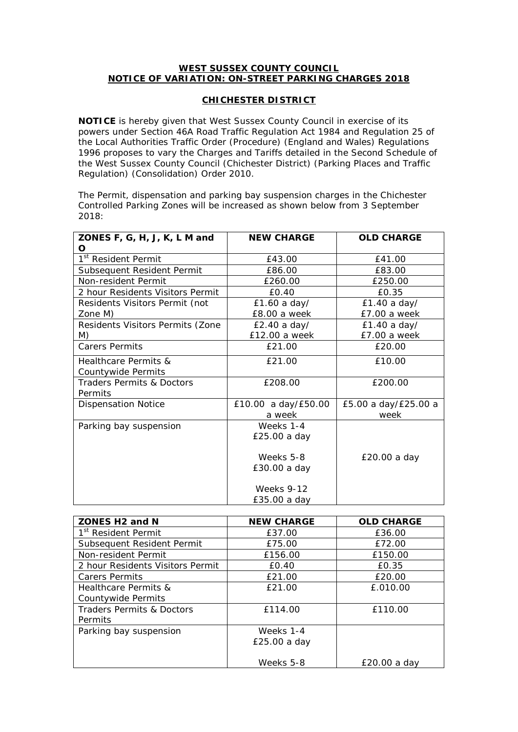## **WEST SUSSEX COUNTY COUNCIL NOTICE OF VARIATION: ON-STREET PARKING CHARGES 2018**

## **CHICHESTER DISTRICT**

**NOTICE** is hereby given that West Sussex County Council in exercise of its powers under Section 46A Road Traffic Regulation Act 1984 and Regulation 25 of the Local Authorities Traffic Order (Procedure) (England and Wales) Regulations 1996 proposes to vary the Charges and Tariffs detailed in the Second Schedule of the West Sussex County Council (Chichester District) (Parking Places and Traffic Regulation) (Consolidation) Order 2010.

The Permit, dispensation and parking bay suspension charges in the Chichester Controlled Parking Zones will be increased as shown below from 3 September 2018:

| ZONES F, G, H, J, K, L M and         | <b>NEW CHARGE</b>   | <b>OLD CHARGE</b>    |  |
|--------------------------------------|---------------------|----------------------|--|
| O                                    |                     |                      |  |
| 1 <sup>st</sup> Resident Permit      | £43.00              | £41.00               |  |
| Subsequent Resident Permit           | £86.00              | £83.00               |  |
| Non-resident Permit                  | £260.00             | £250.00              |  |
| 2 hour Residents Visitors Permit     | £0.40               | £0.35                |  |
| Residents Visitors Permit (not       | £1.60 a day/        | £1.40 a day/         |  |
| Zone M)                              | £8.00 a week        | £7.00 a week         |  |
| Residents Visitors Permits (Zone     | $E2.40$ a day/      | £1.40a day/          |  |
| M)                                   | £12.00 a week       | £7.00 a week         |  |
| <b>Carers Permits</b>                | £21.00              | £20.00               |  |
| Healthcare Permits &                 | £21.00              | £10.00               |  |
| Countywide Permits                   |                     |                      |  |
| <b>Traders Permits &amp; Doctors</b> | £208.00             | £200.00              |  |
| Permits                              |                     |                      |  |
| <b>Dispensation Notice</b>           | £10.00 a day/£50.00 | £5.00 a day/£25.00 a |  |
|                                      | a week              | week                 |  |
| Parking bay suspension               | Weeks 1-4           |                      |  |
|                                      | £25.00 a day        |                      |  |
|                                      |                     |                      |  |
|                                      | Weeks 5-8           | £20.00 a day         |  |
|                                      | £30.00 a day        |                      |  |
|                                      |                     |                      |  |
|                                      | <b>Weeks 9-12</b>   |                      |  |
|                                      | £35.00 a day        |                      |  |

| ZONES H <sub>2</sub> and N       | <b>NEW CHARGE</b> | <b>OLD CHARGE</b> |  |
|----------------------------------|-------------------|-------------------|--|
| 1 <sup>st</sup> Resident Permit  | £37.00            | £36.00            |  |
| Subsequent Resident Permit       | £75.00            | £72.00            |  |
| Non-resident Permit              | £156.00           | £150.00           |  |
| 2 hour Residents Visitors Permit | £0.40             | £0.35             |  |
| <b>Carers Permits</b>            | £21.00            | £20.00            |  |
| Healthcare Permits &             | £21.00            | £.010.00          |  |
| Countywide Permits               |                   |                   |  |
| Traders Permits & Doctors        | £114.00           | £110.00           |  |
| Permits                          |                   |                   |  |
| Parking bay suspension           | Weeks 1-4         |                   |  |
|                                  | $£25.00a$ day     |                   |  |
|                                  | Weeks 5-8         | £20.00 a day      |  |